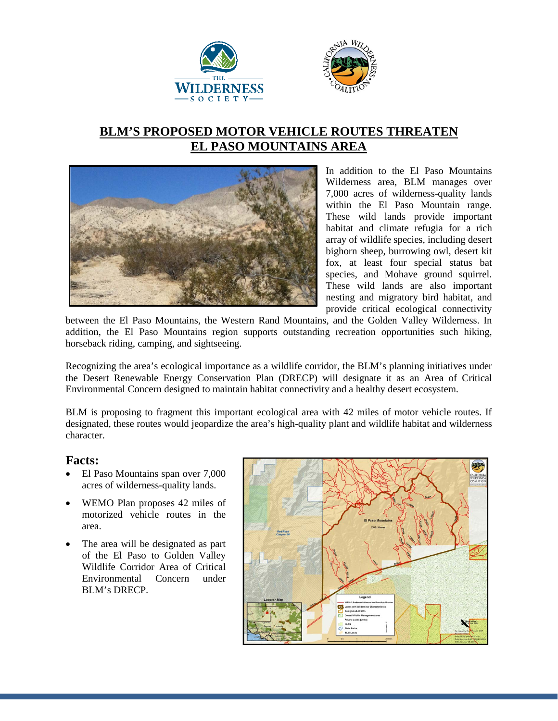



## **BLM'S PROPOSED MOTOR VEHICLE ROUTES THREATEN EL PASO MOUNTAINS AREA**



In addition to the El Paso Mountains Wilderness area, BLM manages over 7,000 acres of wilderness-quality lands within the El Paso Mountain range. These wild lands provide important habitat and climate refugia for a rich array of wildlife species, including desert bighorn sheep, burrowing owl, desert kit fox, at least four special status bat species, and Mohave ground squirrel. These wild lands are also important nesting and migratory bird habitat, and provide critical ecological connectivity

between the El Paso Mountains, the Western Rand Mountains, and the Golden Valley Wilderness. In addition, the El Paso Mountains region supports outstanding recreation opportunities such hiking, horseback riding, camping, and sightseeing.

Recognizing the area's ecological importance as a wildlife corridor, the BLM's planning initiatives under the Desert Renewable Energy Conservation Plan (DRECP) will designate it as an Area of Critical Environmental Concern designed to maintain habitat connectivity and a healthy desert ecosystem.

BLM is proposing to fragment this important ecological area with 42 miles of motor vehicle routes. If designated, these routes would jeopardize the area's high-quality plant and wildlife habitat and wilderness character.

## **Facts:**

- El Paso Mountains span over 7,000 acres of wilderness-quality lands.
- WEMO Plan proposes 42 miles of motorized vehicle routes in the area.
- The area will be designated as part of the El Paso to Golden Valley Wildlife Corridor Area of Critical Environmental Concern under BLM's DRECP.